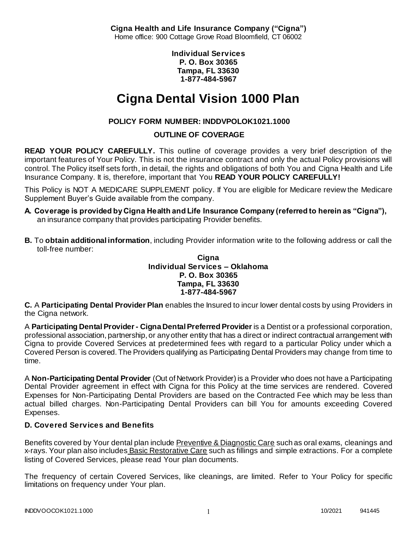**Cigna Health and Life Insurance Company ("Cigna")** Home office: 900 Cottage Grove Road Bloomfield, CT 06002

> **Individual Services P. O. Box 30365 Tampa, FL 33630 1-877-484-5967**

# **Cigna Dental Vision 1000 Plan**

# **POLICY FORM NUMBER: INDDVPOLOK1021.1000**

**OUTLINE OF COVERAGE** 

**READ YOUR POLICY CAREFULLY.** This outline of coverage provides a very brief description of the important features of Your Policy. This is not the insurance contract and only the actual Policy provisions will control. The Policy itself sets forth, in detail, the rights and obligations of both You and Cigna Health and Life Insurance Company. It is, therefore, important that You **READ YOUR POLICY CAREFULLY!** 

This Policy is NOT A MEDICARE SUPPLEMENT policy. If You are eligible for Medicare review the Medicare Supplement Buyer's Guide available from the company.

- **A. Coverage is provided by Cigna Health and Life Insurance Company (referred to herein as "Cigna"),**  an insurance company that provides participating Provider benefits.
- **B.** To **obtain additional information**, including Provider information write to the following address or call the toll-free number:

**Cigna Individual Services – Oklahoma P. O. Box 30365 Tampa, FL 33630 1-877-484-5967**

**C.** A **Participating Dental Provider Plan** enables the Insured to incur lower dental costs by using Providers in the Cigna network.

A **Participating Dental Provider - Cigna Dental Preferred Provider** is a Dentist or a professional corporation, professional association, partnership, or any other entity that has a direct or indirect contractual arrangement with Cigna to provide Covered Services at predetermined fees with regard to a particular Policy under which a Covered Person is covered. The Providers qualifying as Participating Dental Providers may change from time to time.

A **Non-Participating Dental Provider** (Out of Network Provider) is a Provider who does not have a Participating Dental Provider agreement in effect with Cigna for this Policy at the time services are rendered. Covered Expenses for Non-Participating Dental Providers are based on the Contracted Fee which may be less than actual billed charges. Non-Participating Dental Providers can bill You for amounts exceeding Covered Expenses.

# **D. Covered Services and Benefits**

Benefits covered by Your dental plan include Preventive & Diagnostic Care such as oral exams, cleanings and x-rays. Your plan also includes Basic Restorative Care such as fillings and simple extractions. For a complete listing of Covered Services, please read Your plan documents.

The frequency of certain Covered Services, like cleanings, are limited. Refer to Your Policy for specific limitations on frequency under Your plan.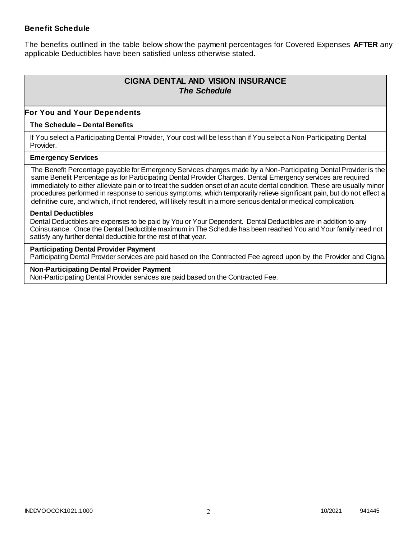### **Benefit Schedule**

The benefits outlined in the table below show the payment percentages for Covered Expenses **AFTER** any applicable Deductibles have been satisfied unless otherwise stated.

# **CIGNA DENTAL AND VISION INSURANCE** *The Schedule*

### **For You and Your Dependents**

#### **The Schedule – Dental Benefits**

If You select a Participating Dental Provider, Your cost will be less than if You select a Non-Participating Dental Provider.

#### **Emergency Services**

The Benefit Percentage payable for Emergency Services charges made by a Non-Participating Dental Provider is the same Benefit Percentage as for Participating Dental Provider Charges. Dental Emergency services are required immediately to either alleviate pain or to treat the sudden onset of an acute dental condition. These are usually minor procedures performed in response to serious symptoms, which temporarily relieve significant pain, but do not effect a definitive cure, and which, if not rendered, will likely result in a more serious dental or medical complication.

#### **Dental Deductibles**

Dental Deductibles are expenses to be paid by You or Your Dependent. Dental Deductibles are in addition to any Coinsurance. Once the Dental Deductible maximum in The Schedule has been reached You and Your family need not satisfy any further dental deductible for the rest of that year.

#### **Participating Dental Provider Payment**

Participating Dental Provider services are paid based on the Contracted Fee agreed upon by the Provider and Cigna.

**Non-Participating Dental Provider Payment** Non-Participating Dental Provider services are paid based on the Contracted Fee.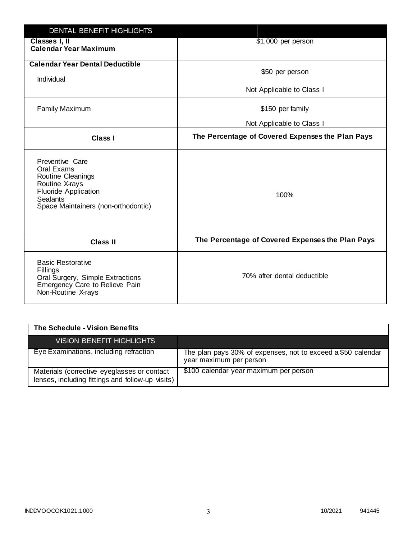| <b>DENTAL BENEFIT HIGHLIGHTS</b>                                                                                                                              |                                                  |
|---------------------------------------------------------------------------------------------------------------------------------------------------------------|--------------------------------------------------|
| Classes I, II<br><b>Calendar Year Maximum</b>                                                                                                                 | \$1,000 per person                               |
| <b>Calendar Year Dental Deductible</b><br>Individual                                                                                                          | \$50 per person                                  |
|                                                                                                                                                               | Not Applicable to Class I                        |
| <b>Family Maximum</b>                                                                                                                                         | \$150 per family                                 |
|                                                                                                                                                               | Not Applicable to Class I                        |
| <b>Class I</b>                                                                                                                                                | The Percentage of Covered Expenses the Plan Pays |
| Preventive Care<br>Oral Exams<br>Routine Cleanings<br>Routine X-rays<br><b>Fluoride Application</b><br><b>Sealants</b><br>Space Maintainers (non-orthodontic) | 100%                                             |
| <b>Class II</b>                                                                                                                                               | The Percentage of Covered Expenses the Plan Pays |
| <b>Basic Restorative</b><br>Fillings<br>Oral Surgery, Simple Extractions<br>Emergency Care to Relieve Pain<br>Non-Routine X-rays                              | 70% after dental deductible                      |

| The Schedule - Vision Benefits                                                                  |                                                                                         |
|-------------------------------------------------------------------------------------------------|-----------------------------------------------------------------------------------------|
| VISION BENEFIT HIGHLIGHTS                                                                       |                                                                                         |
| Eye Examinations, including refraction                                                          | The plan pays 30% of expenses, not to exceed a \$50 calendar<br>year maximum per person |
| Materials (corrective eyeglasses or contact<br>lenses, including fittings and follow-up visits) | \$100 calendar year maximum per person                                                  |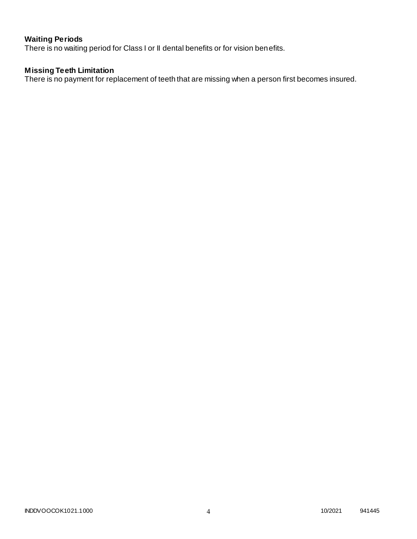# **Waiting Periods**

There is no waiting period for Class I or II dental benefits or for vision benefits.

## **Missing Teeth Limitation**

There is no payment for replacement of teeth that are missing when a person first becomes insured.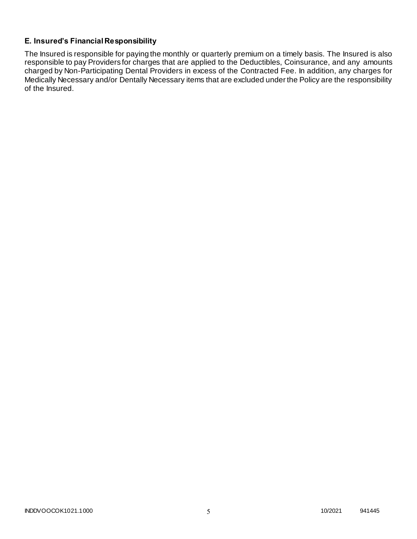# **E. Insured's Financial Responsibility**

The Insured is responsible for paying the monthly or quarterly premium on a timely basis. The Insured is also responsible to pay Providers for charges that are applied to the Deductibles, Coinsurance, and any amounts charged by Non-Participating Dental Providers in excess of the Contracted Fee. In addition, any charges for Medically Necessary and/or Dentally Necessary items that are excluded under the Policy are the responsibility of the Insured.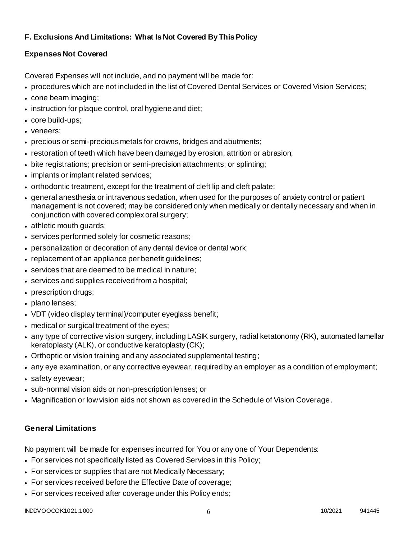# **F. Exclusions And Limitations: What Is Not Covered By This Policy**

# **Expenses Not Covered**

Covered Expenses will not include, and no payment will be made for:

- procedures which are not included in the list of Covered Dental Services or Covered Vision Services;
- cone beam imaging;
- instruction for plaque control, oral hygiene and diet;
- core build-ups;
- veneers;
- precious or semi-precious metals for crowns, bridges and abutments;
- restoration of teeth which have been damaged by erosion, attrition or abrasion;
- bite registrations; precision or semi-precision attachments; or splinting;
- implants or implant related services;
- orthodontic treatment, except for the treatment of cleft lip and cleft palate;
- general anesthesia or intravenous sedation, when used for the purposes of anxiety control or patient management is not covered; may be considered only when medically or dentally necessary and when in conjunction with covered complex oral surgery;
- athletic mouth guards;
- services performed solely for cosmetic reasons;
- personalization or decoration of any dental device or dental work;
- replacement of an appliance per benefit quidelines;
- services that are deemed to be medical in nature;
- services and supplies received from a hospital;
- prescription drugs;
- plano lenses;
- VDT (video display terminal)/computer eyeglass benefit;
- medical or surgical treatment of the eyes;
- any type of corrective vision surgery, including LASIK surgery, radial ketatonomy (RK), automated lamellar keratoplasty (ALK), or conductive keratoplasty (CK);
- Orthoptic or vision training and any associated supplemental testing;
- any eye examination, or any corrective eyewear, required by an employer as a condition of employment;
- safety eyewear;
- sub-normal vision aids or non-prescription lenses; or
- Magnification or low vision aids not shown as covered in the Schedule of Vision Coverage.

# **General Limitations**

No payment will be made for expenses incurred for You or any one of Your Dependents:

- For services not specifically listed as Covered Services in this Policy;
- For services or supplies that are not Medically Necessary;
- For services received before the Effective Date of coverage;
- For services received after coverage under this Policy ends;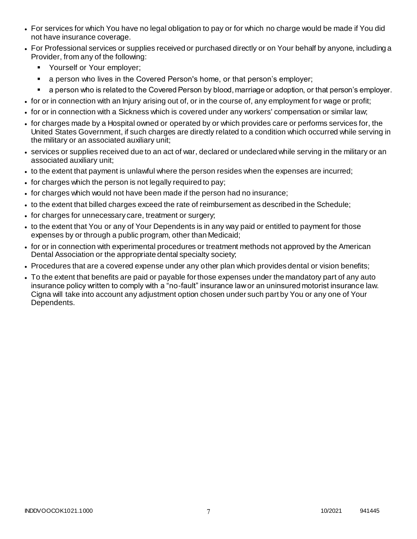- For services for which You have no legal obligation to pay or for which no charge would be made if You did not have insurance coverage.
- For Professional services or supplies received or purchased directly or on Your behalf by anyone, including a Provider, from any of the following:
	- **Yourself or Your employer;**
	- **a** person who lives in the Covered Person's home, or that person's employer;
	- a person who is related to the Covered Person by blood, marriage or adoption, or that person's employer.
- for or in connection with an Injury arising out of, or in the course of, any employment for wage or profit;
- for or in connection with a Sickness which is covered under any workers' compensation or similar law;
- for charges made by a Hospital owned or operated by or which provides care or performs services for, the United States Government, if such charges are directly related to a condition which occurred while serving in the military or an associated auxiliary unit;
- services or supplies received due to an act of war, declared or undeclared while serving in the military or an associated auxiliary unit;
- to the extent that payment is unlawful where the person resides when the expenses are incurred;
- for charges which the person is not legally required to pay;
- for charges which would not have been made if the person had no insurance;
- to the extent that billed charges exceed the rate of reimbursement as described in the Schedule;
- for charges for unnecessary care, treatment or surgery;
- to the extent that You or any of Your Dependents is in any way paid or entitled to payment for those expenses by or through a public program, other than Medicaid;
- for or in connection with experimental procedures or treatment methods not approved by the American Dental Association or the appropriate dental specialty society;
- Procedures that are a covered expense under any other plan which provides dental or vision benefits;
- To the extent that benefits are paid or payable for those expenses under the mandatory part of any auto insurance policy written to comply with a "no-fault" insurance law or an uninsured motorist insurance law. Cigna will take into account any adjustment option chosen under such part by You or any one of Your Dependents.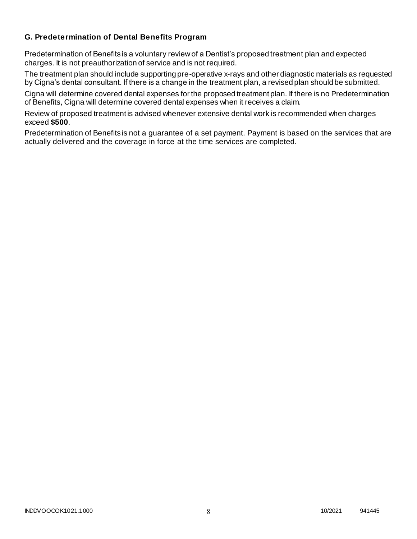### **G. Predetermination of Dental Benefits Program**

Predetermination of Benefits is a voluntary review of a Dentist's proposed treatment plan and expected charges. It is not preauthorization of service and is not required.

The treatment plan should include supporting pre-operative x-rays and other diagnostic materials as requested by Cigna's dental consultant. If there is a change in the treatment plan, a revised plan should be submitted.

Cigna will determine covered dental expenses for the proposed treatment plan. If there is no Predetermination of Benefits, Cigna will determine covered dental expenses when it receives a claim.

Review of proposed treatment is advised whenever extensive dental work is recommended when charges exceed **\$500**.

Predetermination of Benefits is not a guarantee of a set payment. Payment is based on the services that are actually delivered and the coverage in force at the time services are completed.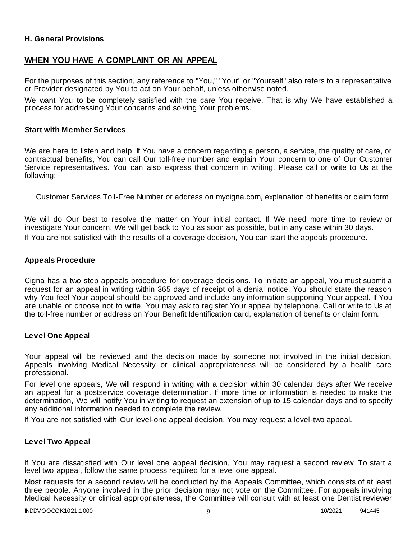### **H. General Provisions**

## **WHEN YOU HAVE A COMPLAINT OR AN APPEAL**

For the purposes of this section, any reference to "You," "Your" or "Yourself" also refers to a representative or Provider designated by You to act on Your behalf, unless otherwise noted.

We want You to be completely satisfied with the care You receive. That is why We have established a process for addressing Your concerns and solving Your problems.

#### **Start with Member Services**

We are here to listen and help. If You have a concern regarding a person, a service, the quality of care, or contractual benefits, You can call Our toll-free number and explain Your concern to one of Our Customer Service representatives. You can also express that concern in writing. Please call or write to Us at the following:

Customer Services Toll-Free Number or address on mycigna.com, explanation of benefits or claim form

We will do Our best to resolve the matter on Your initial contact. If We need more time to review or investigate Your concern, We will get back to You as soon as possible, but in any case within 30 days. If You are not satisfied with the results of a coverage decision, You can start the appeals procedure.

#### **Appeals Procedure**

Cigna has a two step appeals procedure for coverage decisions. To initiate an appeal, You must submit a request for an appeal in writing within 365 days of receipt of a denial notice. You should state the reason why You feel Your appeal should be approved and include any information supporting Your appeal. If You are unable or choose not to write, You may ask to register Your appeal by telephone. Call or write to Us at the toll-free number or address on Your Benefit Identification card, explanation of benefits or claim form.

#### **Level One Appeal**

Your appeal will be reviewed and the decision made by someone not involved in the initial decision. Appeals involving Medical Necessity or clinical appropriateness will be considered by a health care professional.

For level one appeals, We will respond in writing with a decision within 30 calendar days after We receive an appeal for a postservice coverage determination. If more time or information is needed to make the determination, We will notify You in writing to request an extension of up to 15 calendar days and to specify any additional information needed to complete the review.

If You are not satisfied with Our level-one appeal decision, You may request a level-two appeal.

### **Level Two Appeal**

If You are dissatisfied with Our level one appeal decision, You may request a second review. To start a level two appeal, follow the same process required for a level one appeal.

Most requests for a second review will be conducted by the Appeals Committee, which consists of at least three people. Anyone involved in the prior decision may not vote on the Committee. For appeals involving Medical Necessity or clinical appropriateness, the Committee will consult with at least one Dentist reviewer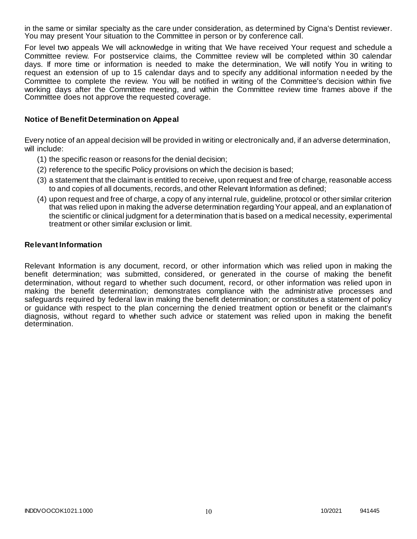in the same or similar specialty as the care under consideration, as determined by Cigna's Dentist reviewer. You may present Your situation to the Committee in person or by conference call.

For level two appeals We will acknowledge in writing that We have received Your request and schedule a Committee review. For postservice claims, the Committee review will be completed within 30 calendar days. If more time or information is needed to make the determination, We will notify You in writing to request an extension of up to 15 calendar days and to specify any additional information n eeded by the Committee to complete the review. You will be notified in writing of the Committee's decision within five working days after the Committee meeting, and within the Committee review time frames above if the Committee does not approve the requested coverage.

### **Notice of Benefit Determination on Appeal**

Every notice of an appeal decision will be provided in writing or electronically and, if an adverse determination, will include:

- (1) the specific reason or reasons for the denial decision;
- (2) reference to the specific Policy provisions on which the decision is based;
- (3) a statement that the claimant is entitled to receive, upon request and free of charge, reasonable access to and copies of all documents, records, and other Relevant Information as defined;
- (4) upon request and free of charge, a copy of any internal rule, guideline, protocol or other similar criterion that was relied upon in making the adverse determination regarding Your appeal, and an explanation of the scientific or clinical judgment for a determination that is based on a medical necessity, experimental treatment or other similar exclusion or limit.

#### **Relevant Information**

Relevant Information is any document, record, or other information which was relied upon in making the benefit determination; was submitted, considered, or generated in the course of making the benefit determination, without regard to whether such document, record, or other information was relied upon in making the benefit determination; demonstrates compliance with the administr ative processes and safeguards required by federal law in making the benefit determination; or constitutes a statement of policy or guidance with respect to the plan concerning the denied treatment option or benefit or the claimant's diagnosis, without regard to whether such advice or statement was relied upon in making the benefit determination.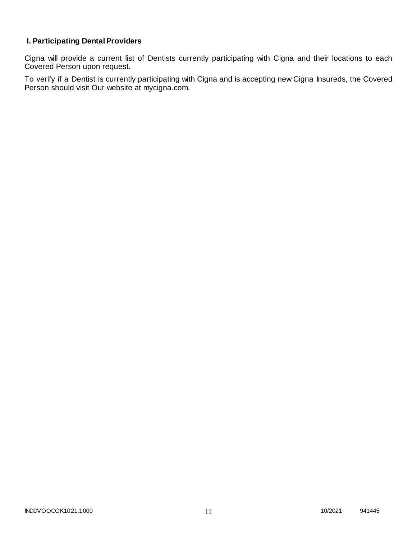# **I. Participating Dental Providers**

Cigna will provide a current list of Dentists currently participating with Cigna and their locations to each Covered Person upon request.

To verify if a Dentist is currently participating with Cigna and is accepting new Cigna Insureds, the Covered Person should visit Our website at mycigna.com.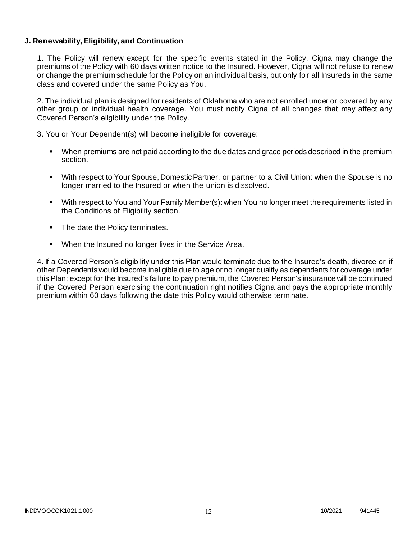### **J. Renewability, Eligibility, and Continuation**

1. The Policy will renew except for the specific events stated in the Policy. Cigna may change the premiums of the Policy with 60 days written notice to the Insured. However, Cigna will not refuse to renew or change the premium schedule for the Policy on an individual basis, but only for all Insureds in the same class and covered under the same Policy as You.

2. The individual plan is designed for residents of Oklahoma who are not enrolled under or covered by any other group or individual health coverage. You must notify Cigna of all changes that may affect any Covered Person's eligibility under the Policy.

3. You or Your Dependent(s) will become ineligible for coverage:

- When premiums are not paid according to the due dates and grace periods described in the premium section.
- With respect to Your Spouse, Domestic Partner, or partner to a Civil Union: when the Spouse is no longer married to the Insured or when the union is dissolved.
- With respect to You and Your Family Member(s): when You no longer meet the requirements listed in the Conditions of Eligibility section.
- The date the Policy terminates.
- When the Insured no longer lives in the Service Area.

4. If a Covered Person's eligibility under this Plan would terminate due to the Insured's death, divorce or if other Dependents would become ineligible due to age or no longer qualify as dependents for coverage under this Plan; except for the Insured's failure to pay premium, the Covered Person's insurance will be continued if the Covered Person exercising the continuation right notifies Cigna and pays the appropriate monthly premium within 60 days following the date this Policy would otherwise terminate.